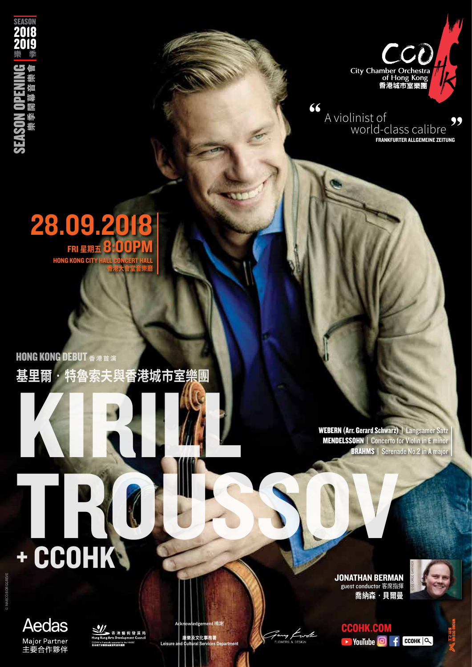

" A violinist of world-class calibre FRANKFURTER ALLGEMEINE ZEITUNG "

## 28.09.2018 FRI **星期五** 8:00PM **HONG KONG CIT 香港大會堂音樂廳**

SEASON OPENING

**SEASON OPEN** 

樂季開幕音樂會

に難聞

無性

恤

2018 2019 樂 季

**SEASON** 

**基里爾‧特魯索夫與香港城市室樂團** KIRILL **HONG KONG DEBUT 香港首演** 

WEBERN (Arr. Gerard Schwarz) | Langsamer Satz MENDELSSOHN | Concerto for Violin in E minor **BRAHMS** | Serenade No.2 in A major

TROUSSOV

JONATHAN BERMAN ••••••••••••••••••••<br>guest conductor 客席指揮 **喬納森‧貝爾曼**





y *Ewole* 



+ CCOHK



康樂及文化事務署 **Leisure Acknowledgement** 鳴謝